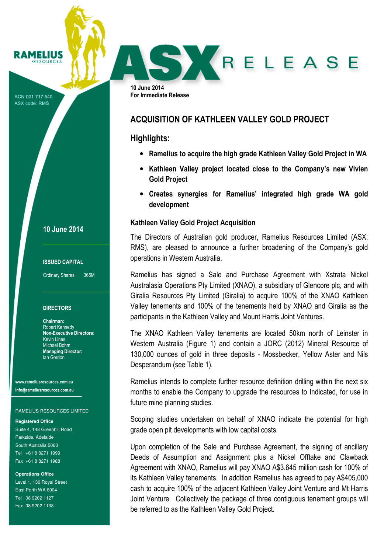ACN 001 717 540 ASX code: RMS

RAMELIUS **RESOURCES** 

10 June 2014

#### ISSUED CAPITAL

Ordinary Shares: 365M

#### **DIRECTORS**

Chairman: Robert Kennedy Non-Executive Directors: Kevin Lines Michael Bohm Managing Director: Ian Gordon

www.rameliusresources.com.au info@rameliusresources.com.au

#### RAMELIUS RESOURCES LIMITED

**Registered Office** 

Suite 4, 148 Greenhill Road Parkside, Adelaide South Australia 5063 Tel +61 8 8271 1999 Fax +61 8 8271 1988

**Operations Office** 

Level 1, 130 Royal Street East Perth WA 6004 Tel 08 9202 1127 Fax 08 9202 1138

10 June 2014 For Immediate Release

## ACQUISITION OF KATHLEEN VALLEY GOLD PROJECT

### Highlights:

• Ramelius to acquire the high grade Kathleen Valley Gold Project in WA

SKRELEASE

- Kathleen Valley project located close to the Company's new Vivien Gold Project
- Creates synergies for Ramelius' integrated high grade WA gold development

#### Kathleen Valley Gold Project Acquisition

The Directors of Australian gold producer, Ramelius Resources Limited (ASX: RMS), are pleased to announce a further broadening of the Company's gold operations in Western Australia.

Ramelius has signed a Sale and Purchase Agreement with Xstrata Nickel Australasia Operations Pty Limited (XNAO), a subsidiary of Glencore plc, and with Giralia Resources Pty Limited (Giralia) to acquire 100% of the XNAO Kathleen Valley tenements and 100% of the tenements held by XNAO and Giralia as the participants in the Kathleen Valley and Mount Harris Joint Ventures.

The XNAO Kathleen Valley tenements are located 50km north of Leinster in Western Australia (Figure 1) and contain a JORC (2012) Mineral Resource of 130,000 ounces of gold in three deposits - Mossbecker, Yellow Aster and Nils Desperandum (see Table 1).

Ramelius intends to complete further resource definition drilling within the next six months to enable the Company to upgrade the resources to Indicated, for use in future mine planning studies.

Scoping studies undertaken on behalf of XNAO indicate the potential for high grade open pit developments with low capital costs.

Upon completion of the Sale and Purchase Agreement, the signing of ancillary Deeds of Assumption and Assignment plus a Nickel Offtake and Clawback Agreement with XNAO, Ramelius will pay XNAO A\$3.645 million cash for 100% of its Kathleen Valley tenements. In addition Ramelius has agreed to pay A\$405,000 cash to acquire 100% of the adjacent Kathleen Valley Joint Venture and Mt Harris Joint Venture. Collectively the package of three contiguous tenement groups will be referred to as the Kathleen Valley Gold Project.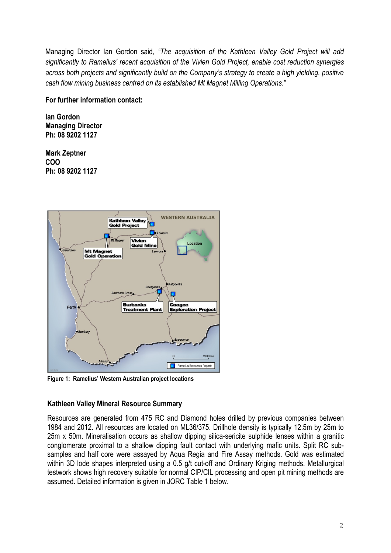Managing Director Ian Gordon said, "The acquisition of the Kathleen Valley Gold Project will add significantly to Ramelius' recent acquisition of the Vivien Gold Project, enable cost reduction synergies across both projects and significantly build on the Company's strategy to create a high yielding, positive cash flow mining business centred on its established Mt Magnet Milling Operations."

### For further information contact:

Ian Gordon Managing Director Ph: 08 9202 1127

Mark Zeptner COO Ph: 08 9202 1127



Figure 1: Ramelius' Western Australian project locations

## Kathleen Valley Mineral Resource Summary

Resources are generated from 475 RC and Diamond holes drilled by previous companies between 1984 and 2012. All resources are located on ML36/375. Drillhole density is typically 12.5m by 25m to 25m x 50m. Mineralisation occurs as shallow dipping silica-sericite sulphide lenses within a granitic conglomerate proximal to a shallow dipping fault contact with underlying mafic units. Split RC subsamples and half core were assayed by Aqua Regia and Fire Assay methods. Gold was estimated within 3D lode shapes interpreted using a 0.5 g/t cut-off and Ordinary Kriging methods. Metallurgical testwork shows high recovery suitable for normal CIP/CIL processing and open pit mining methods are assumed. Detailed information is given in JORC Table 1 below.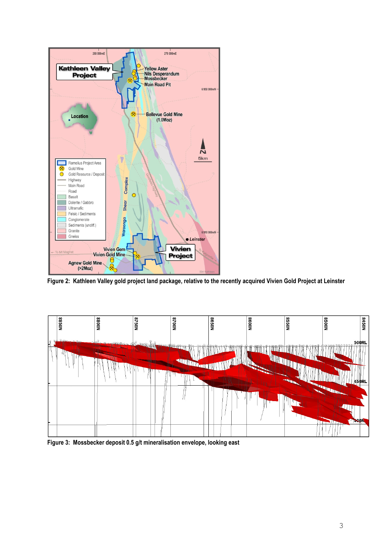

Figure 2: Kathleen Valley gold project land package, relative to the recently acquired Vivien Gold Project at Leinster



Figure 3: Mossbecker deposit 0.5 g/t mineralisation envelope, looking east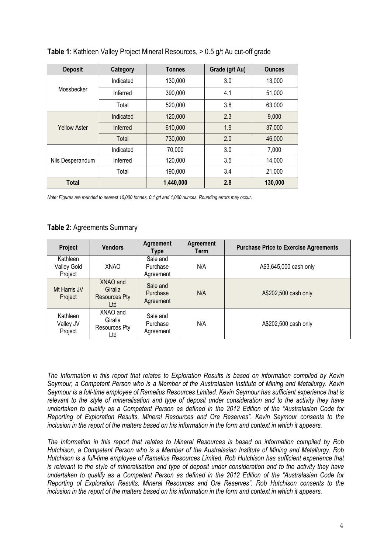| <b>Deposit</b>      | Category  | <b>Tonnes</b> | Grade (g/t Au) | <b>Ounces</b> |
|---------------------|-----------|---------------|----------------|---------------|
|                     | Indicated | 130,000       | 3.0            | 13,000        |
| Mossbecker          | Inferred  | 390,000       | 4.1            | 51,000        |
|                     | Total     | 520,000       | 3.8            | 63,000        |
|                     | Indicated | 120,000       | 2.3            | 9,000         |
| <b>Yellow Aster</b> | Inferred  | 610,000       | 1.9            | 37,000        |
|                     | Total     | 730,000       | 2.0            | 46,000        |
|                     | Indicated | 70,000        | 3.0            | 7,000         |
| Nils Desperandum    | Inferred  | 120,000       | 3.5            | 14,000        |
|                     | Total     | 190,000       | 3.4            | 21,000        |
| <b>Total</b>        |           | 1,440,000     | 2.8            | 130,000       |

Table 1: Kathleen Valley Project Mineral Resources, > 0.5 g/t Au cut-off grade

Note: Figures are rounded to nearest 10,000 tonnes, 0.1 g/t and 1,000 ounces. Rounding errors may occur.

### Table 2: Agreements Summary

| Project                                   | <b>Vendors</b>                                     | <b>Agreement</b><br>Type          | <b>Agreement</b><br>Term | <b>Purchase Price to Exercise Agreements</b> |
|-------------------------------------------|----------------------------------------------------|-----------------------------------|--------------------------|----------------------------------------------|
| Kathleen<br><b>Valley Gold</b><br>Project | XNAO                                               | Sale and<br>Purchase<br>Agreement | N/A                      | A\$3,645,000 cash only                       |
| Mt Harris JV<br>Project                   | XNAO and<br>Giralia<br><b>Resources Pty</b><br>Ltd | Sale and<br>Purchase<br>Agreement | N/A                      | A\$202,500 cash only                         |
| Kathleen<br>Valley JV<br>Project          | XNAO and<br>Giralia<br>Resources Pty<br>Ltd        | Sale and<br>Purchase<br>Agreement | N/A                      | A\$202,500 cash only                         |

The Information in this report that relates to Exploration Results is based on information compiled by Kevin Seymour, a Competent Person who is a Member of the Australasian Institute of Mining and Metallurgy. Kevin Seymour is a full-time employee of Ramelius Resources Limited. Kevin Seymour has sufficient experience that is relevant to the style of mineralisation and type of deposit under consideration and to the activity they have undertaken to qualify as a Competent Person as defined in the 2012 Edition of the "Australasian Code for Reporting of Exploration Results, Mineral Resources and Ore Reserves". Kevin Seymour consents to the inclusion in the report of the matters based on his information in the form and context in which it appears.

The Information in this report that relates to Mineral Resources is based on information compiled by Rob Hutchison, a Competent Person who is a Member of the Australasian Institute of Mining and Metallurgy. Rob Hutchison is a full-time employee of Ramelius Resources Limited. Rob Hutchison has sufficient experience that is relevant to the style of mineralisation and type of deposit under consideration and to the activity they have undertaken to qualify as a Competent Person as defined in the 2012 Edition of the "Australasian Code for Reporting of Exploration Results, Mineral Resources and Ore Reserves". Rob Hutchison consents to the inclusion in the report of the matters based on his information in the form and context in which it appears.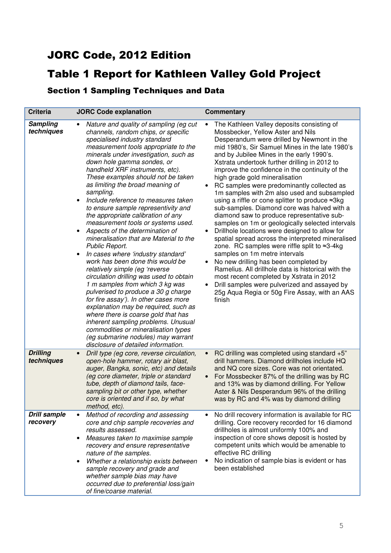# JORC Code, 2012 Edition

# Table 1 Report for Kathleen Valley Gold Project

Section 1 Sampling Techniques and Data

| <b>Criteria</b>                 | <b>JORC Code explanation</b>                                                                                                                                                                                                                                                                                                                                                                                                                                                                                                                                                                                                                                                                                                                                                                                                                                                                                                                                                                                                                                                                                                                                         | <b>Commentary</b>                                                                                                                                                                                                                                                                                                                                                                                                                                                                                                                                                                                                                                                                                                                                                                                                                                                                                                                                                                                                                                                                                                                                    |
|---------------------------------|----------------------------------------------------------------------------------------------------------------------------------------------------------------------------------------------------------------------------------------------------------------------------------------------------------------------------------------------------------------------------------------------------------------------------------------------------------------------------------------------------------------------------------------------------------------------------------------------------------------------------------------------------------------------------------------------------------------------------------------------------------------------------------------------------------------------------------------------------------------------------------------------------------------------------------------------------------------------------------------------------------------------------------------------------------------------------------------------------------------------------------------------------------------------|------------------------------------------------------------------------------------------------------------------------------------------------------------------------------------------------------------------------------------------------------------------------------------------------------------------------------------------------------------------------------------------------------------------------------------------------------------------------------------------------------------------------------------------------------------------------------------------------------------------------------------------------------------------------------------------------------------------------------------------------------------------------------------------------------------------------------------------------------------------------------------------------------------------------------------------------------------------------------------------------------------------------------------------------------------------------------------------------------------------------------------------------------|
| <b>Sampling</b><br>techniques   | Nature and quality of sampling (eg cut<br>channels, random chips, or specific<br>specialised industry standard<br>measurement tools appropriate to the<br>minerals under investigation, such as<br>down hole gamma sondes, or<br>handheld XRF instruments, etc).<br>These examples should not be taken<br>as limiting the broad meaning of<br>sampling.<br>Include reference to measures taken<br>$\bullet$<br>to ensure sample representivity and<br>the appropriate calibration of any<br>measurement tools or systems used.<br>Aspects of the determination of<br>$\bullet$<br>mineralisation that are Material to the<br>Public Report.<br>In cases where 'industry standard'<br>٠<br>work has been done this would be<br>relatively simple (eg 'reverse<br>circulation drilling was used to obtain<br>1 m samples from which 3 kg was<br>pulverised to produce a 30 g charge<br>for fire assay'). In other cases more<br>explanation may be required, such as<br>where there is coarse gold that has<br>inherent sampling problems. Unusual<br>commodities or mineralisation types<br>(eg submarine nodules) may warrant<br>disclosure of detailed information. | The Kathleen Valley deposits consisting of<br>$\bullet$<br>Mossbecker, Yellow Aster and Nils<br>Desperandum were drilled by Newmont in the<br>mid 1980's, Sir Samuel Mines in the late 1980's<br>and by Jubilee Mines in the early 1990's.<br>Xstrata undertook further drilling in 2012 to<br>improve the confidence in the continuity of the<br>high grade gold mineralisation<br>RC samples were predominantly collected as<br>٠<br>1m samples with 2m also used and subsampled<br>using a riffle or cone splitter to produce ≈3kg<br>sub-samples. Diamond core was halved with a<br>diamond saw to produce representative sub-<br>samples on 1m or geologically selected intervals<br>Drillhole locations were designed to allow for<br>٠<br>spatial spread across the interpreted mineralised<br>zone. RC samples were riffle split to ≈3-4kg<br>samples on 1m metre intervals<br>No new drilling has been completed by<br>٠<br>Ramelius. All drillhole data is historical with the<br>most recent completed by Xstrata in 2012<br>Drill samples were pulverized and assayed by<br>٠<br>25g Aqua Regia or 50g Fire Assay, with an AAS<br>finish |
| <b>Drilling</b><br>techniques   | Drill type (eg core, reverse circulation,<br>$\bullet$<br>open-hole hammer, rotary air blast,<br>auger, Bangka, sonic, etc) and details<br>(eg core diameter, triple or standard<br>tube, depth of diamond tails, face-<br>sampling bit or other type, whether<br>core is oriented and if so, by what<br>method, etc).                                                                                                                                                                                                                                                                                                                                                                                                                                                                                                                                                                                                                                                                                                                                                                                                                                               | RC drilling was completed using standard +5"<br>$\bullet$<br>drill hammers. Diamond drillholes include HQ<br>and NQ core sizes. Core was not orientated.<br>For Mossbecker 87% of the drilling was by RC<br>$\bullet$<br>and 13% was by diamond drilling. For Yellow<br>Aster & Nils Desperandum 96% of the drilling<br>was by RC and 4% was by diamond drilling                                                                                                                                                                                                                                                                                                                                                                                                                                                                                                                                                                                                                                                                                                                                                                                     |
| <b>Drill sample</b><br>recovery | Method of recording and assessing<br>core and chip sample recoveries and<br>results assessed.<br>Measures taken to maximise sample<br>$\bullet$<br>recovery and ensure representative<br>nature of the samples.<br>Whether a relationship exists between<br>sample recovery and grade and<br>whether sample bias may have<br>occurred due to preferential loss/gain<br>of fine/coarse material.                                                                                                                                                                                                                                                                                                                                                                                                                                                                                                                                                                                                                                                                                                                                                                      | No drill recovery information is available for RC<br>$\bullet$<br>drilling. Core recovery recorded for 16 diamond<br>drillholes is almost uniformly 100% and<br>inspection of core shows deposit is hosted by<br>competent units which would be amenable to<br>effective RC drilling<br>No indication of sample bias is evident or has<br>٠<br>been established                                                                                                                                                                                                                                                                                                                                                                                                                                                                                                                                                                                                                                                                                                                                                                                      |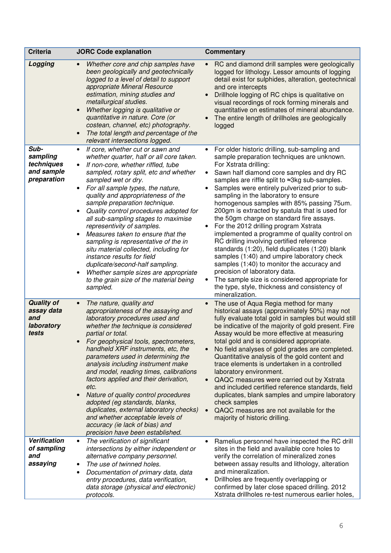| <b>Criteria</b>                                               | <b>JORC Code explanation</b>                                                                                                                                                                                                                                                                                                                                                                                                                                                                                                                                                                                                                                                                                       | Commentary                                                                                                                                                                                                                                                                                                                                                                                                                                                                                                                                                                                                                                                                                                                                                                                                                                                                                                                    |
|---------------------------------------------------------------|--------------------------------------------------------------------------------------------------------------------------------------------------------------------------------------------------------------------------------------------------------------------------------------------------------------------------------------------------------------------------------------------------------------------------------------------------------------------------------------------------------------------------------------------------------------------------------------------------------------------------------------------------------------------------------------------------------------------|-------------------------------------------------------------------------------------------------------------------------------------------------------------------------------------------------------------------------------------------------------------------------------------------------------------------------------------------------------------------------------------------------------------------------------------------------------------------------------------------------------------------------------------------------------------------------------------------------------------------------------------------------------------------------------------------------------------------------------------------------------------------------------------------------------------------------------------------------------------------------------------------------------------------------------|
| Logging                                                       | Whether core and chip samples have<br>been geologically and geotechnically<br>logged to a level of detail to support<br>appropriate Mineral Resource<br>estimation, mining studies and<br>metallurgical studies.<br>Whether logging is qualitative or<br>quantitative in nature. Core (or<br>costean, channel, etc) photography.<br>The total length and percentage of the<br>relevant intersections logged.                                                                                                                                                                                                                                                                                                       | RC and diamond drill samples were geologically<br>$\bullet$<br>logged for lithology. Lessor amounts of logging<br>detail exist for sulphides, alteration, geotechnical<br>and ore intercepts<br>Drillhole logging of RC chips is qualitative on<br>$\bullet$<br>visual recordings of rock forming minerals and<br>quantitative on estimates of mineral abundance.<br>The entire length of drillholes are geologically<br>logged                                                                                                                                                                                                                                                                                                                                                                                                                                                                                               |
| Sub-<br>sampling<br>techniques<br>and sample<br>preparation   | If core, whether cut or sawn and<br>whether quarter, half or all core taken.<br>If non-core, whether riffled, tube<br>sampled, rotary split, etc and whether<br>sampled wet or dry.<br>For all sample types, the nature,<br>$\bullet$<br>quality and appropriateness of the<br>sample preparation technique.<br>Quality control procedures adopted for<br>all sub-sampling stages to maximise<br>representivity of samples.<br>Measures taken to ensure that the<br>sampling is representative of the in<br>situ material collected, including for<br>instance results for field<br>duplicate/second-half sampling.<br>Whether sample sizes are appropriate<br>to the grain size of the material being<br>sampled. | For older historic drilling, sub-sampling and<br>$\bullet$<br>sample preparation techniques are unknown.<br>For Xstrata drilling:<br>Sawn half diamond core samples and dry RC<br>samples are riffle split to ≈3kg sub-samples.<br>Samples were entirely pulverized prior to sub-<br>sampling in the laboratory to ensure<br>homogenous samples with 85% passing 75um.<br>200gm is extracted by spatula that is used for<br>the 50gm charge on standard fire assays.<br>For the 2012 drilling program Xstrata<br>$\bullet$<br>implemented a programme of quality control on<br>RC drilling involving certified reference<br>standards (1:20), field duplicates (1:20) blank<br>samples (1:40) and umpire laboratory check<br>samples (1:40) to monitor the accuracy and<br>precision of laboratory data.<br>The sample size is considered appropriate for<br>the type, style, thickness and consistency of<br>mineralization. |
| <b>Quality of</b><br>assay data<br>and<br>laboratory<br>tests | The nature, quality and<br>appropriateness of the assaying and<br>laboratory procedures used and<br>whether the technique is considered<br>partial or total.<br>For geophysical tools, spectrometers,<br>handheld XRF instruments, etc, the<br>parameters used in determining the<br>analysis including instrument make<br>and model, reading times, calibrations<br>factors applied and their derivation,<br>etc.<br>Nature of quality control procedures<br>adopted (eg standards, blanks,<br>duplicates, external laboratory checks)<br>and whether acceptable levels of<br>accuracy (ie lack of bias) and<br>precision have been established.                                                                  | The use of Aqua Regia method for many<br>$\bullet$<br>historical assays (approximately 50%) may not<br>fully evaluate total gold in samples but would still<br>be indicative of the majority of gold present. Fire<br>Assay would be more effective at measuring<br>total gold and is considered appropriate.<br>No field analyses of gold grades are completed.<br>Quantitative analysis of the gold content and<br>trace elements is undertaken in a controlled<br>laboratory environment.<br>QAQC measures were carried out by Xstrata<br>$\bullet$<br>and included certified reference standards, field<br>duplicates, blank samples and umpire laboratory<br>check samples<br>QAQC measures are not available for the<br>$\bullet$<br>majority of historic drilling.                                                                                                                                                     |
| Verification<br>of sampling<br>and<br>assaying                | The verification of significant<br>$\bullet$<br>intersections by either independent or<br>alternative company personnel.<br>The use of twinned holes.<br>Documentation of primary data, data<br>entry procedures, data verification,<br>data storage (physical and electronic)<br>protocols.                                                                                                                                                                                                                                                                                                                                                                                                                       | Ramelius personnel have inspected the RC drill<br>$\bullet$<br>sites in the field and available core holes to<br>verify the correlation of mineralized zones<br>between assay results and lithology, alteration<br>and mineralization.<br>Drillholes are frequently overlapping or<br>٠<br>confirmed by later close spaced drilling. 2012<br>Xstrata drillholes re-test numerous earlier holes,                                                                                                                                                                                                                                                                                                                                                                                                                                                                                                                               |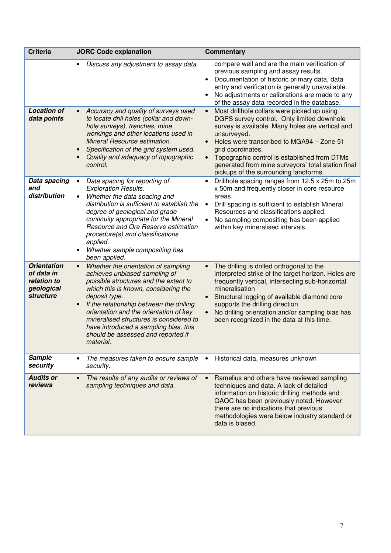| <b>Criteria</b>                                                                   | <b>JORC Code explanation</b>                                                                                                                                                                                                                                                                                                                                                                                                  | <b>Commentary</b>                                                                                                                                                                                                                                                                                                                                                                                                    |  |
|-----------------------------------------------------------------------------------|-------------------------------------------------------------------------------------------------------------------------------------------------------------------------------------------------------------------------------------------------------------------------------------------------------------------------------------------------------------------------------------------------------------------------------|----------------------------------------------------------------------------------------------------------------------------------------------------------------------------------------------------------------------------------------------------------------------------------------------------------------------------------------------------------------------------------------------------------------------|--|
|                                                                                   | Discuss any adjustment to assay data.                                                                                                                                                                                                                                                                                                                                                                                         | compare well and are the main verification of<br>previous sampling and assay results.<br>Documentation of historic primary data, data<br>$\bullet$<br>entry and verification is generally unavailable.<br>No adjustments or calibrations are made to any<br>of the assay data recorded in the database.                                                                                                              |  |
| <b>Location of</b><br>data points                                                 | Accuracy and quality of surveys used<br>to locate drill holes (collar and down-<br>hole surveys), trenches, mine<br>workings and other locations used in<br>Mineral Resource estimation.<br>Specification of the grid system used.<br>Quality and adequacy of topographic<br>control.                                                                                                                                         | Most drillhole collars were picked up using<br>$\bullet$<br>DGPS survey control. Only limited downhole<br>survey is available. Many holes are vertical and<br>unsurveyed.<br>Holes were transcribed to MGA94 - Zone 51<br>$\bullet$<br>grid coordinates.<br>Topographic control is established from DTMs<br>$\bullet$<br>generated from mine surveyors' total station final<br>pickups of the surrounding landforms. |  |
| Data spacing<br>and<br>distribution                                               | Data spacing for reporting of<br><b>Exploration Results.</b><br>Whether the data spacing and<br>$\bullet$<br>distribution is sufficient to establish the<br>degree of geological and grade<br>continuity appropriate for the Mineral<br>Resource and Ore Reserve estimation<br>procedure(s) and classifications<br>applied.<br>Whether sample compositing has<br>$\bullet$<br>been applied.                                   | Drillhole spacing ranges from 12.5 x 25m to 25m<br>$\bullet$<br>x 50m and frequently closer in core resource<br>areas.<br>Drill spacing is sufficient to establish Mineral<br>$\bullet$<br>Resources and classifications applied.<br>No sampling compositing has been applied<br>within key mineralised intervals.                                                                                                   |  |
| <b>Orientation</b><br>of data in<br>relation to<br>geological<br><b>structure</b> | Whether the orientation of sampling<br>$\bullet$<br>achieves unbiased sampling of<br>possible structures and the extent to<br>which this is known, considering the<br>deposit type.<br>If the relationship between the drilling<br>$\bullet$<br>orientation and the orientation of key<br>mineralised structures is considered to<br>have introduced a sampling bias, this<br>should be assessed and reported if<br>material. | The drilling is drilled orthogonal to the<br>$\bullet$<br>interpreted strike of the target horizon. Holes are<br>frequently vertical, intersecting sub-horizontal<br>mineralisation<br>Structural logging of available diamond core<br>$\bullet$<br>supports the drilling direction<br>No drilling orientation and/or sampling bias has<br>$\bullet$<br>been recognized in the data at this time.                    |  |
| <b>Sample</b><br>security                                                         | The measures taken to ensure sample<br>security.                                                                                                                                                                                                                                                                                                                                                                              | Historical data, measures unknown<br>$\bullet$                                                                                                                                                                                                                                                                                                                                                                       |  |
| <b>Audits or</b><br>reviews                                                       | The results of any audits or reviews of<br>$\bullet$<br>sampling techniques and data.                                                                                                                                                                                                                                                                                                                                         | Ramelius and others have reviewed sampling<br>$\bullet$<br>techniques and data. A lack of detailed<br>information on historic drilling methods and<br>QAQC has been previously noted. However<br>there are no indications that previous<br>methodologies were below industry standard or<br>data is biased.                                                                                                          |  |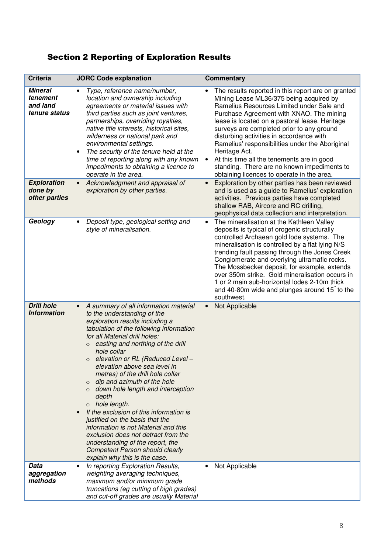# Section 2 Reporting of Exploration Results

| <b>Criteria</b>                                         | <b>JORC Code explanation</b>                                                                                                                                                                                                                                                                                                                                                                                                                                                                                                                                                                                                                                                                                                                     | <b>Commentary</b>                                                                                                                                                                                                                                                                                                                                                                                                                                                                                                                                             |
|---------------------------------------------------------|--------------------------------------------------------------------------------------------------------------------------------------------------------------------------------------------------------------------------------------------------------------------------------------------------------------------------------------------------------------------------------------------------------------------------------------------------------------------------------------------------------------------------------------------------------------------------------------------------------------------------------------------------------------------------------------------------------------------------------------------------|---------------------------------------------------------------------------------------------------------------------------------------------------------------------------------------------------------------------------------------------------------------------------------------------------------------------------------------------------------------------------------------------------------------------------------------------------------------------------------------------------------------------------------------------------------------|
| <b>Mineral</b><br>tenement<br>and land<br>tenure status | Type, reference name/number,<br>location and ownership including<br>agreements or material issues with<br>third parties such as joint ventures,<br>partnerships, overriding royalties,<br>native title interests, historical sites,<br>wilderness or national park and<br>environmental settings.<br>The security of the tenure held at the<br>$\bullet$<br>time of reporting along with any known<br>impediments to obtaining a licence to<br>operate in the area.                                                                                                                                                                                                                                                                              | The results reported in this report are on granted<br>$\bullet$<br>Mining Lease ML36/375 being acquired by<br>Ramelius Resources Limited under Sale and<br>Purchase Agreement with XNAO. The mining<br>lease is located on a pastoral lease. Heritage<br>surveys are completed prior to any ground<br>disturbing activities in accordance with<br>Ramelius' responsibilities under the Aboriginal<br>Heritage Act.<br>At this time all the tenements are in good<br>standing. There are no known impediments to<br>obtaining licences to operate in the area. |
| <b>Exploration</b><br>done by<br>other parties          | Acknowledgment and appraisal of<br>$\bullet$<br>exploration by other parties.                                                                                                                                                                                                                                                                                                                                                                                                                                                                                                                                                                                                                                                                    | Exploration by other parties has been reviewed<br>$\bullet$<br>and is used as a guide to Ramelius' exploration<br>activities. Previous parties have completed<br>shallow RAB, Aircore and RC drilling,<br>geophysical data collection and interpretation.                                                                                                                                                                                                                                                                                                     |
| Geology                                                 | Deposit type, geological setting and<br>style of mineralisation.                                                                                                                                                                                                                                                                                                                                                                                                                                                                                                                                                                                                                                                                                 | The mineralisation at the Kathleen Valley<br>$\bullet$<br>deposits is typical of orogenic structurally<br>controlled Archaean gold lode systems. The<br>mineralisation is controlled by a flat lying N/S<br>trending fault passing through the Jones Creek<br>Conglomerate and overlying ultramafic rocks.<br>The Mossbecker deposit, for example, extends<br>over 350m strike. Gold mineralisation occurs in<br>1 or 2 main sub-horizontal lodes 2-10m thick<br>and 40-80m wide and plunges around 15 to the<br>southwest.                                   |
| <b>Drill hole</b><br><b>Information</b>                 | A summary of all information material<br>to the understanding of the<br>exploration results including a<br>tabulation of the following information<br>for all Material drill holes:<br>easting and northing of the drill<br>$\circ$<br>hole collar<br>elevation or RL (Reduced Level -<br>$\circ$<br>elevation above sea level in<br>metres) of the drill hole collar<br>dip and azimuth of the hole<br>down hole length and interception<br>depth<br>o hole length.<br>If the exclusion of this information is<br>justified on the basis that the<br>information is not Material and this<br>exclusion does not detract from the<br>understanding of the report, the<br><b>Competent Person should clearly</b><br>explain why this is the case. | Not Applicable                                                                                                                                                                                                                                                                                                                                                                                                                                                                                                                                                |
| Data<br>aggregation<br>methods                          | In reporting Exploration Results,<br>weighting averaging techniques,<br>maximum and/or minimum grade<br>truncations (eg cutting of high grades)<br>and cut-off grades are usually Material                                                                                                                                                                                                                                                                                                                                                                                                                                                                                                                                                       | Not Applicable                                                                                                                                                                                                                                                                                                                                                                                                                                                                                                                                                |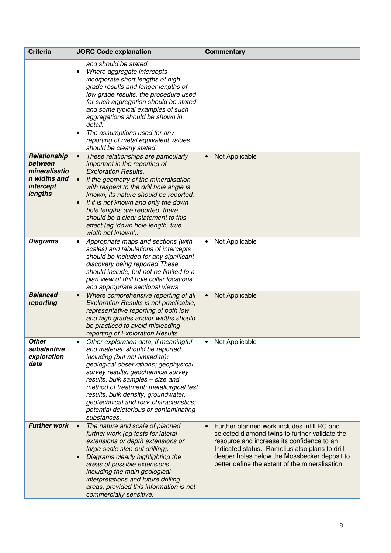| <b>Criteria</b>                                                                  | <b>JORC Code explanation</b>                                                                                                                                                                                                                                                                                                                                                                                                               | <b>Commentary</b>                                                                                                                                                                                                                                                                                             |
|----------------------------------------------------------------------------------|--------------------------------------------------------------------------------------------------------------------------------------------------------------------------------------------------------------------------------------------------------------------------------------------------------------------------------------------------------------------------------------------------------------------------------------------|---------------------------------------------------------------------------------------------------------------------------------------------------------------------------------------------------------------------------------------------------------------------------------------------------------------|
|                                                                                  | and should be stated.<br>Where aggregate intercepts<br>incorporate short lengths of high<br>grade results and longer lengths of<br>low grade results, the procedure used<br>for such aggregation should be stated<br>and some typical examples of such<br>aggregations should be shown in<br>detail.<br>The assumptions used for any<br>$\bullet$<br>reporting of metal equivalent values<br>should be clearly stated.                     |                                                                                                                                                                                                                                                                                                               |
| Relationship<br>between<br>mineralisatio<br>n widths and<br>intercept<br>lengths | These relationships are particularly<br>$\bullet$<br>important in the reporting of<br><b>Exploration Results.</b><br>If the geometry of the mineralisation<br>$\bullet$<br>with respect to the drill hole angle is<br>known, its nature should be reported.<br>If it is not known and only the down<br>hole lengths are reported, there<br>should be a clear statement to this<br>effect (eg 'down hole length, true<br>width not known'). | Not Applicable<br>$\bullet$                                                                                                                                                                                                                                                                                   |
| <b>Diagrams</b>                                                                  | Appropriate maps and sections (with<br>scales) and tabulations of intercepts<br>should be included for any significant<br>discovery being reported These<br>should include, but not be limited to a<br>plan view of drill hole collar locations<br>and appropriate sectional views.                                                                                                                                                        | Not Applicable<br>$\bullet$                                                                                                                                                                                                                                                                                   |
| <b>Balanced</b><br>reporting                                                     | Where comprehensive reporting of all<br>Exploration Results is not practicable,<br>representative reporting of both low<br>and high grades and/or widths should<br>be practiced to avoid misleading<br>reporting of Exploration Results.                                                                                                                                                                                                   | Not Applicable                                                                                                                                                                                                                                                                                                |
| <b>Other</b><br>substantive<br>exploration<br>data                               | Other exploration data, if meaningful<br>and material, should be reported<br>including (but not limited to):<br>geological observations; geophysical<br>survey results; geochemical survey<br>results; bulk samples - size and<br>method of treatment; metallurgical test<br>results; bulk density, groundwater,<br>geotechnical and rock characteristics;<br>potential deleterious or contaminating<br>substances.                        | Not Applicable                                                                                                                                                                                                                                                                                                |
| <b>Further work</b>                                                              | The nature and scale of planned<br>$\bullet$<br>further work (eg tests for lateral<br>extensions or depth extensions or<br>large-scale step-out drilling).<br>Diagrams clearly highlighting the<br>areas of possible extensions,<br>including the main geological<br>interpretations and future drilling<br>areas, provided this information is not<br>commercially sensitive.                                                             | Further planned work includes infill RC and<br>$\bullet$<br>selected diamond twins to further validate the<br>resource and increase its confidence to an<br>Indicated status. Ramelius also plans to drill<br>deeper holes below the Mossbecker deposit to<br>better define the extent of the mineralisation. |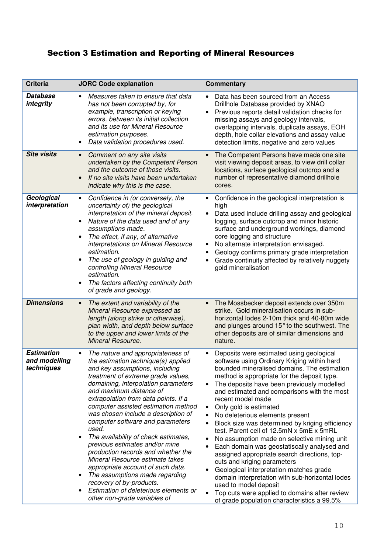# Section 3 Estimation and Reporting of Mineral Resources

| <b>Criteria</b>                                  | <b>JORC Code explanation</b>                                                                                                                                                                                                                                                                                                                                                                                                                                                                                                                                                                                                                                                                                                      | <b>Commentary</b>                                                                                                                                                                                                                                                                                                                                                                                                                                                                                                                                                                                                                                                                                                                                                                                                                                                                                 |
|--------------------------------------------------|-----------------------------------------------------------------------------------------------------------------------------------------------------------------------------------------------------------------------------------------------------------------------------------------------------------------------------------------------------------------------------------------------------------------------------------------------------------------------------------------------------------------------------------------------------------------------------------------------------------------------------------------------------------------------------------------------------------------------------------|---------------------------------------------------------------------------------------------------------------------------------------------------------------------------------------------------------------------------------------------------------------------------------------------------------------------------------------------------------------------------------------------------------------------------------------------------------------------------------------------------------------------------------------------------------------------------------------------------------------------------------------------------------------------------------------------------------------------------------------------------------------------------------------------------------------------------------------------------------------------------------------------------|
| <b>Database</b><br>integrity                     | Measures taken to ensure that data<br>has not been corrupted by, for<br>example, transcription or keying<br>errors, between its initial collection<br>and its use for Mineral Resource<br>estimation purposes.<br>Data validation procedures used.<br>$\bullet$                                                                                                                                                                                                                                                                                                                                                                                                                                                                   | Data has been sourced from an Access<br>Drillhole Database provided by XNAO<br>Previous reports detail validation checks for<br>missing assays and geology intervals,<br>overlapping intervals, duplicate assays, EOH<br>depth, hole collar elevations and assay value<br>detection limits, negative and zero values                                                                                                                                                                                                                                                                                                                                                                                                                                                                                                                                                                              |
| <b>Site visits</b>                               | Comment on any site visits<br>$\bullet$<br>undertaken by the Competent Person<br>and the outcome of those visits.<br>If no site visits have been undertaken<br>indicate why this is the case.                                                                                                                                                                                                                                                                                                                                                                                                                                                                                                                                     | The Competent Persons have made one site<br>visit viewing deposit areas, to view drill collar<br>locations, surface geological outcrop and a<br>number of representative diamond drillhole<br>cores.                                                                                                                                                                                                                                                                                                                                                                                                                                                                                                                                                                                                                                                                                              |
| Geological<br>interpretation                     | Confidence in (or conversely, the<br>uncertainty of) the geological<br>interpretation of the mineral deposit.<br>Nature of the data used and of any<br>assumptions made.<br>The effect, if any, of alternative<br>interpretations on Mineral Resource<br>estimation.<br>The use of geology in guiding and<br>controlling Mineral Resource<br>estimation.<br>The factors affecting continuity both<br>of grade and geology.                                                                                                                                                                                                                                                                                                        | Confidence in the geological interpretation is<br>high<br>Data used include drilling assay and geological<br>logging, surface outcrop and minor historic<br>surface and underground workings, diamond<br>core logging and structure<br>No alternate interpretation envisaged.<br>Geology confirms primary grade interpretation<br>Grade continuity affected by relatively nuggety<br>gold mineralisation                                                                                                                                                                                                                                                                                                                                                                                                                                                                                          |
| <b>Dimensions</b>                                | The extent and variability of the<br>$\bullet$<br>Mineral Resource expressed as<br>length (along strike or otherwise),<br>plan width, and depth below surface<br>to the upper and lower limits of the<br>Mineral Resource.                                                                                                                                                                                                                                                                                                                                                                                                                                                                                                        | The Mossbecker deposit extends over 350m<br>strike. Gold mineralisation occurs in sub-<br>horizontal lodes 2-10m thick and 40-80m wide<br>and plunges around 15° to the southwest. The<br>other deposits are of similar dimensions and<br>nature.                                                                                                                                                                                                                                                                                                                                                                                                                                                                                                                                                                                                                                                 |
| <b>Estimation</b><br>and modelling<br>techniques | The nature and appropriateness of<br>$\bullet$<br>the estimation technique(s) applied<br>and key assumptions, including<br>treatment of extreme grade values,<br>domaining, interpolation parameters<br>and maximum distance of<br>extrapolation from data points. If a<br>computer assisted estimation method<br>was chosen include a description of<br>computer software and parameters<br>used.<br>The availability of check estimates,<br>previous estimates and/or mine<br>production records and whether the<br>Mineral Resource estimate takes<br>appropriate account of such data.<br>The assumptions made regarding<br>recovery of by-products.<br>Estimation of deleterious elements or<br>other non-grade variables of | Deposits were estimated using geological<br>software using Ordinary Kriging within hard<br>bounded mineralised domains. The estimation<br>method is appropriate for the deposit type.<br>The deposits have been previously modelled<br>and estimated and comparisons with the most<br>recent model made<br>Only gold is estimated<br>$\bullet$<br>No deleterious elements present<br>Block size was determined by kriging efficiency<br>test. Parent cell of 12.5mN x 5mE x 5mRL<br>No assumption made on selective mining unit<br>Each domain was geostatiscally analysed and<br>assigned appropriate search directions, top-<br>cuts and kriging parameters<br>Geological interpretation matches grade<br>domain interpretation with sub-horizontal lodes<br>used to model deposit<br>Top cuts were applied to domains after review<br>$\bullet$<br>of grade population characteristics a 99.5% |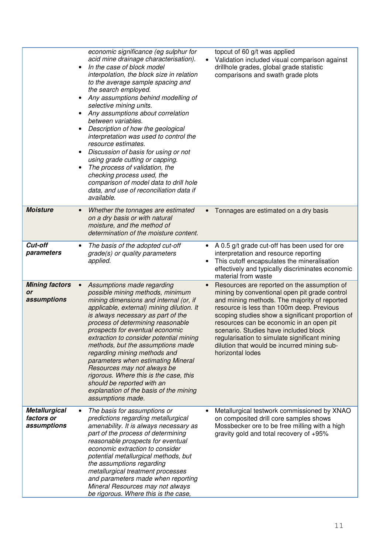|                                                   | economic significance (eg sulphur for<br>acid mine drainage characterisation).<br>In the case of block model<br>$\bullet$<br>interpolation, the block size in relation<br>to the average sample spacing and<br>the search employed.<br>Any assumptions behind modelling of<br>selective mining units.<br>Any assumptions about correlation<br>between variables.<br>Description of how the geological<br>interpretation was used to control the<br>resource estimates.<br>Discussion of basis for using or not<br>using grade cutting or capping.<br>The process of validation, the<br>checking process used, the<br>comparison of model data to drill hole<br>data, and use of reconciliation data if<br>available. | topcut of 60 g/t was applied<br>Validation included visual comparison against<br>drillhole grades, global grade statistic<br>comparisons and swath grade plots                                                                                                                                                                                                                                                                                         |
|---------------------------------------------------|----------------------------------------------------------------------------------------------------------------------------------------------------------------------------------------------------------------------------------------------------------------------------------------------------------------------------------------------------------------------------------------------------------------------------------------------------------------------------------------------------------------------------------------------------------------------------------------------------------------------------------------------------------------------------------------------------------------------|--------------------------------------------------------------------------------------------------------------------------------------------------------------------------------------------------------------------------------------------------------------------------------------------------------------------------------------------------------------------------------------------------------------------------------------------------------|
| <b>Moisture</b>                                   | Whether the tonnages are estimated<br>on a dry basis or with natural<br>moisture, and the method of<br>determination of the moisture content.                                                                                                                                                                                                                                                                                                                                                                                                                                                                                                                                                                        | Tonnages are estimated on a dry basis                                                                                                                                                                                                                                                                                                                                                                                                                  |
| Cut-off<br>parameters                             | The basis of the adopted cut-off<br>grade(s) or quality parameters<br>applied.                                                                                                                                                                                                                                                                                                                                                                                                                                                                                                                                                                                                                                       | A 0.5 g/t grade cut-off has been used for ore<br>$\bullet$<br>interpretation and resource reporting<br>This cutoff encapsulates the mineralisation<br>effectively and typically discriminates economic<br>material from waste                                                                                                                                                                                                                          |
| <b>Mining factors</b><br><b>or</b><br>assumptions | Assumptions made regarding<br>possible mining methods, minimum<br>mining dimensions and internal (or, if<br>applicable, external) mining dilution. It<br>is always necessary as part of the<br>process of determining reasonable<br>prospects for eventual economic<br>extraction to consider potential mining<br>methods, but the assumptions made<br>regarding mining methods and<br>parameters when estimating Mineral<br>Resources may not always be<br>rigorous. Where this is the case, this<br>should be reported with an<br>explanation of the basis of the mining<br>assumptions made.                                                                                                                      | Resources are reported on the assumption of<br>mining by conventional open pit grade control<br>and mining methods. The majority of reported<br>resource is less than 100m deep. Previous<br>scoping studies show a significant proportion of<br>resources can be economic in an open pit<br>scenario. Studies have included block<br>regularisation to simulate significant mining<br>dilution that would be incurred mining sub-<br>horizontal lodes |
| <b>Metallurgical</b><br>factors or<br>assumptions | The basis for assumptions or<br>predictions regarding metallurgical<br>amenability. It is always necessary as<br>part of the process of determining<br>reasonable prospects for eventual<br>economic extraction to consider<br>potential metallurgical methods, but<br>the assumptions regarding<br>metallurgical treatment processes<br>and parameters made when reporting<br>Mineral Resources may not always<br>be rigorous. Where this is the case,                                                                                                                                                                                                                                                              | Metallurgical testwork commissioned by XNAO<br>on composited drill core samples shows<br>Mossbecker ore to be free milling with a high<br>gravity gold and total recovery of +95%                                                                                                                                                                                                                                                                      |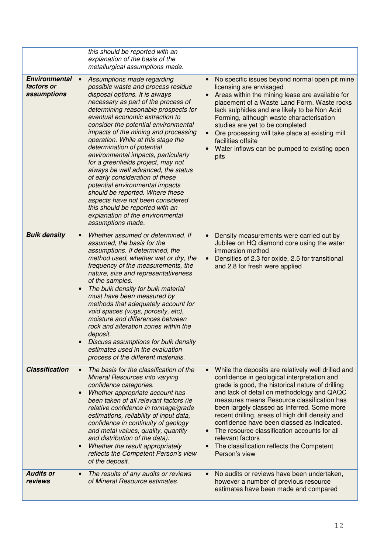|                                                   | this should be reported with an<br>explanation of the basis of the<br>metallurgical assumptions made.                                                                                                                                                                                                                                                                                                                                                                                                                                                                                                                                                                                                                                 |                                                                                                                                                                                                                                                                                                                                                                                                                                                                                                                                                   |
|---------------------------------------------------|---------------------------------------------------------------------------------------------------------------------------------------------------------------------------------------------------------------------------------------------------------------------------------------------------------------------------------------------------------------------------------------------------------------------------------------------------------------------------------------------------------------------------------------------------------------------------------------------------------------------------------------------------------------------------------------------------------------------------------------|---------------------------------------------------------------------------------------------------------------------------------------------------------------------------------------------------------------------------------------------------------------------------------------------------------------------------------------------------------------------------------------------------------------------------------------------------------------------------------------------------------------------------------------------------|
| <b>Environmental</b><br>factors or<br>assumptions | Assumptions made regarding<br>possible waste and process residue<br>disposal options. It is always<br>necessary as part of the process of<br>determining reasonable prospects for<br>eventual economic extraction to<br>consider the potential environmental<br>impacts of the mining and processing<br>operation. While at this stage the<br>determination of potential<br>environmental impacts, particularly<br>for a greenfields project, may not<br>always be well advanced, the status<br>of early consideration of these<br>potential environmental impacts<br>should be reported. Where these<br>aspects have not been considered<br>this should be reported with an<br>explanation of the environmental<br>assumptions made. | No specific issues beyond normal open pit mine<br>licensing are envisaged<br>Areas within the mining lease are available for<br>placement of a Waste Land Form. Waste rocks<br>lack sulphides and are likely to be Non Acid<br>Forming, although waste characterisation<br>studies are yet to be completed<br>Ore processing will take place at existing mill<br>facilities offsite<br>Water inflows can be pumped to existing open<br>pits                                                                                                       |
| <b>Bulk density</b>                               | Whether assumed or determined. If<br>assumed, the basis for the<br>assumptions. If determined, the<br>method used, whether wet or dry, the<br>frequency of the measurements, the<br>nature, size and representativeness<br>of the samples.<br>The bulk density for bulk material<br>must have been measured by<br>methods that adequately account for<br>void spaces (vugs, porosity, etc),<br>moisture and differences between<br>rock and alteration zones within the<br>deposit.<br>Discuss assumptions for bulk density<br>estimates used in the evaluation<br>process of the different materials.                                                                                                                                | Density measurements were carried out by<br>Jubilee on HQ diamond core using the water<br>immersion method<br>Densities of 2.3 for oxide, 2.5 for transitional<br>and 2.8 for fresh were applied                                                                                                                                                                                                                                                                                                                                                  |
| <b>Classification</b>                             | The basis for the classification of the<br><b>Mineral Resources into varying</b><br>confidence categories.<br>Whether appropriate account has<br>been taken of all relevant factors (ie<br>relative confidence in tonnage/grade<br>estimations, reliability of input data,<br>confidence in continuity of geology<br>and metal values, quality, quantity<br>and distribution of the data).<br>Whether the result appropriately<br>reflects the Competent Person's view<br>of the deposit.                                                                                                                                                                                                                                             | While the deposits are relatively well drilled and<br>$\bullet$<br>confidence in geological interpretation and<br>grade is good, the historical nature of drilling<br>and lack of detail on methodology and QAQC<br>measures means Resource classification has<br>been largely classed as Inferred. Some more<br>recent drilling, areas of high drill density and<br>confidence have been classed as Indicated.<br>The resource classification accounts for all<br>relevant factors<br>The classification reflects the Competent<br>Person's view |
| <b>Audits or</b><br>reviews                       | The results of any audits or reviews<br>of Mineral Resource estimates.                                                                                                                                                                                                                                                                                                                                                                                                                                                                                                                                                                                                                                                                | No audits or reviews have been undertaken,<br>however a number of previous resource<br>estimates have been made and compared                                                                                                                                                                                                                                                                                                                                                                                                                      |